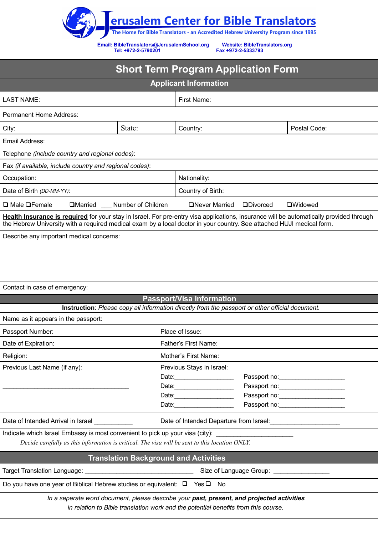

**Email: [BibleTranslators@JerusalemSchool.org](mailto:BibleTranslators@JerusalemSchool.org) Website: Bi[bleTranslators.org](http://www.bibletranslators.org/)** Tel: **+972-2-5790201** 

## **Short Term Program Application Form**

| <b>Applicant Information</b>                            |                    |                   |                 |                |
|---------------------------------------------------------|--------------------|-------------------|-----------------|----------------|
| LAST NAME:                                              |                    | First Name:       |                 |                |
| Permanent Home Address:                                 |                    |                   |                 |                |
| City:                                                   | State:             | Country:          |                 | Postal Code:   |
| Email Address:                                          |                    |                   |                 |                |
| Telephone (include country and regional codes):         |                    |                   |                 |                |
| Fax (if available, include country and regional codes): |                    |                   |                 |                |
| Occupation:                                             |                    | Nationality:      |                 |                |
| Date of Birth (DD-MM-YY):                               |                    | Country of Birth: |                 |                |
| $\Box$ Male $\Box$ Female<br>$\Box$ Married             | Number of Children | □Never Married    | $\Box$ Divorced | $\Box$ Widowed |
|                                                         |                    |                   |                 |                |

 **Health Insurance is required** for your stay in Israel. For pre-entry visa applications, insurance will be automatically provided through the Hebrew University with a required medical exam by a local doctor in your country. See attached HUJI medical form.

Describe any important medical concerns:

Contact in case of emergency:

## **Passport/Visa Information**

**Instruction**: *Please copy all information directly from the passport or other official document.*

| Name as it appears in the passport: |  |  |  |  |
|-------------------------------------|--|--|--|--|
|-------------------------------------|--|--|--|--|

| Passport Number:                                                                               | Place of Issue:                           |                                     |  |  |
|------------------------------------------------------------------------------------------------|-------------------------------------------|-------------------------------------|--|--|
| Date of Expiration:                                                                            | Father's First Name:                      |                                     |  |  |
| Religion:                                                                                      | Mother's First Name:                      |                                     |  |  |
| Previous Last Name (if any):                                                                   | Previous Stays in Israel:                 |                                     |  |  |
|                                                                                                | Date: 2004                                |                                     |  |  |
|                                                                                                | Date: <u>_____________________</u>        |                                     |  |  |
|                                                                                                | Date: 2008                                | Passport no: ______________________ |  |  |
|                                                                                                | Date: 2004                                |                                     |  |  |
| Date of Intended Arrival in Israel ___________                                                 |                                           |                                     |  |  |
| Indicate which Israel Embassy is most convenient to pick up your visa (city):                  |                                           |                                     |  |  |
| Decide carefully as this information is critical. The visa will be sent to this location ONLY. |                                           |                                     |  |  |
| <b>Translation Background and Activities</b>                                                   |                                           |                                     |  |  |
|                                                                                                | Size of Language Group: _________________ |                                     |  |  |
| Do you have one year of Biblical Hebrew studies or equivalent: $\Box$ Yes $\Box$ No            |                                           |                                     |  |  |

*In a seperate word document, please describe your past, present, and projected activities in relation to Bible translation work and the potential benefits from this course.*